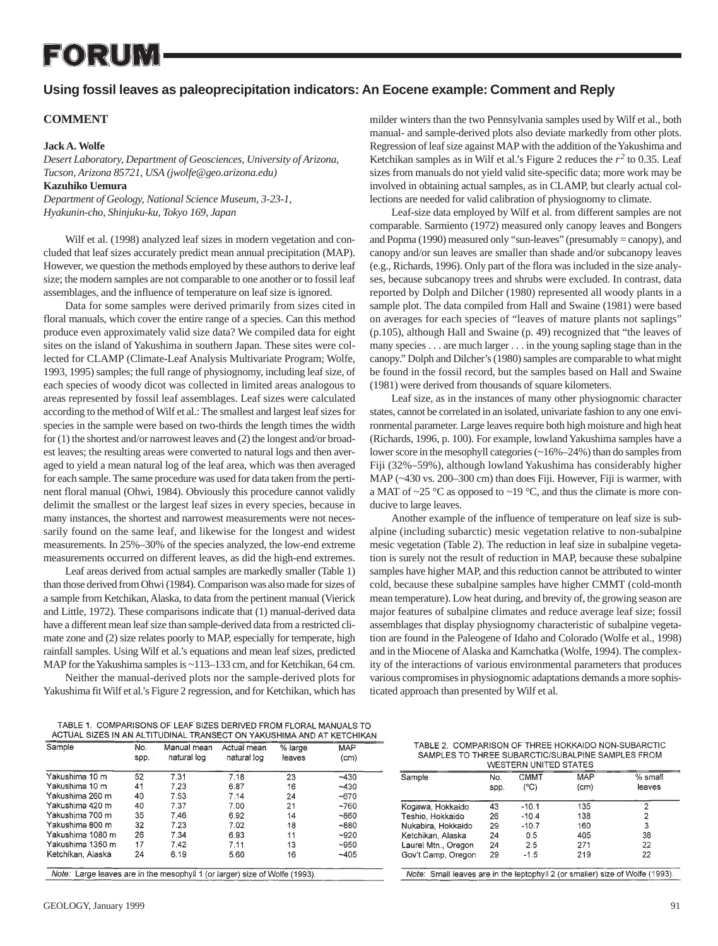# FORUM

# **Using fossil leaves as paleoprecipitation indicators: An Eocene example: Comment and Reply**

## **COMMENT**

### **Jack A. Wolfe**

*Desert Laboratory, Department of Geosciences, University of Arizona, Tucson, Arizona 85721, USA (jwolfe@geo.arizona.edu)* **Kazuhiko Uemura** *Department of Geology, National Science Museum, 3-23-1,*

*Hyakunin-cho, Shinjuku-ku, Tokyo 169, Japan*

Wilf et al. (1998) analyzed leaf sizes in modern vegetation and concluded that leaf sizes accurately predict mean annual precipitation (MAP). However, we question the methods employed by these authors to derive leaf size; the modern samples are not comparable to one another or to fossil leaf assemblages, and the influence of temperature on leaf size is ignored.

Data for some samples were derived primarily from sizes cited in floral manuals, which cover the entire range of a species. Can this method produce even approximately valid size data? We compiled data for eight sites on the island of Yakushima in southern Japan. These sites were collected for CLAMP (Climate-Leaf Analysis Multivariate Program; Wolfe, 1993, 1995) samples; the full range of physiognomy, including leaf size, of each species of woody dicot was collected in limited areas analogous to areas represented by fossil leaf assemblages. Leaf sizes were calculated according to the method of Wilf et al.: The smallest and largest leaf sizes for species in the sample were based on two-thirds the length times the width for (1) the shortest and/or narrowest leaves and (2) the longest and/or broadest leaves; the resulting areas were converted to natural logs and then averaged to yield a mean natural log of the leaf area, which was then averaged for each sample. The same procedure was used for data taken from the pertinent floral manual (Ohwi, 1984). Obviously this procedure cannot validly delimit the smallest or the largest leaf sizes in every species, because in many instances, the shortest and narrowest measurements were not necessarily found on the same leaf, and likewise for the longest and widest measurements. In 25%–30% of the species analyzed, the low-end extreme measurements occurred on different leaves, as did the high-end extremes.

Leaf areas derived from actual samples are markedly smaller (Table 1) than those derived from Ohwi (1984). Comparison was also made for sizes of a sample from Ketchikan, Alaska, to data from the pertinent manual (Vierick and Little, 1972). These comparisons indicate that (1) manual-derived data have a different mean leaf size than sample-derived data from a restricted climate zone and (2) size relates poorly to MAP, especially for temperate, high rainfall samples. Using Wilf et al.'s equations and mean leaf sizes, predicted MAP for the Yakushima samples is ~113–133 cm, and for Ketchikan, 64 cm.

Neither the manual-derived plots nor the sample-derived plots for Yakushima fit Wilf et al.'s Figure 2 regression, and for Ketchikan, which has

milder winters than the two Pennsylvania samples used by Wilf et al., both manual- and sample-derived plots also deviate markedly from other plots. Regression of leaf size against MAP with the addition of the Yakushima and Ketchikan samples as in Wilf et al.'s Figure 2 reduces the  $r^2$  to 0.35. Leaf sizes from manuals do not yield valid site-specific data; more work may be involved in obtaining actual samples, as in CLAMP, but clearly actual collections are needed for valid calibration of physiognomy to climate.

Leaf-size data employed by Wilf et al. from different samples are not comparable. Sarmiento (1972) measured only canopy leaves and Bongers and Popma (1990) measured only "sun-leaves" (presumably = canopy), and canopy and/or sun leaves are smaller than shade and/or subcanopy leaves (e.g., Richards, 1996). Only part of the flora was included in the size analyses, because subcanopy trees and shrubs were excluded. In contrast, data reported by Dolph and Dilcher (1980) represented all woody plants in a sample plot. The data compiled from Hall and Swaine (1981) were based on averages for each species of "leaves of mature plants not saplings" (p.105), although Hall and Swaine (p. 49) recognized that "the leaves of many species . . . are much larger . . . in the young sapling stage than in the canopy." Dolph and Dilcher's (1980) samples are comparable to what might be found in the fossil record, but the samples based on Hall and Swaine (1981) were derived from thousands of square kilometers.

Leaf size, as in the instances of many other physiognomic character states, cannot be correlated in an isolated, univariate fashion to any one environmental parameter. Large leaves require both high moisture and high heat (Richards, 1996, p. 100). For example, lowland Yakushima samples have a lower score in the mesophyll categories (~16%–24%) than do samples from Fiji (32%–59%), although lowland Yakushima has considerably higher MAP (~430 vs. 200–300 cm) than does Fiji. However, Fiji is warmer, with a MAT of ~25 °C as opposed to ~19 °C, and thus the climate is more conducive to large leaves.

Another example of the influence of temperature on leaf size is subalpine (including subarctic) mesic vegetation relative to non-subalpine mesic vegetation (Table 2). The reduction in leaf size in subalpine vegetation is surely not the result of reduction in MAP, because these subalpine samples have higher MAP, and this reduction cannot be attributed to winter cold, because these subalpine samples have higher CMMT (cold-month mean temperature). Low heat during, and brevity of, the growing season are major features of subalpine climates and reduce average leaf size; fossil assemblages that display physiognomy characteristic of subalpine vegetation are found in the Paleogene of Idaho and Colorado (Wolfe et al., 1998) and in the Miocene of Alaska and Kamchatka (Wolfe, 1994). The complexity of the interactions of various environmental parameters that produces various compromises in physiognomic adaptations demands a more sophisticated approach than presented by Wilf et al.

TABLE 1. COMPARISONS OF LEAF SIZES DERIVED FROM FLORAL MANUALS TO ACTUAL SIZES IN AN ALTITUDINAL TRANSECT ON YAKUSHIMA AND AT KETCHIKAN

| Sample            | No.<br>spp. | Manual mean<br>natural log | Actual mean<br>natural log | % large<br>leaves | <b>MAP</b><br>(cm) |
|-------------------|-------------|----------------------------|----------------------------|-------------------|--------------------|
|                   |             |                            |                            |                   |                    |
| Yakushima 10 m    | 52          | 7.31                       | 7.18                       | 23                | $-430$             |
| Yakushima 10 m    | 41          | 7.23                       | 6.87                       | 16                | $-430$             |
| Yakushima 260 m   | 40          | 7.53                       | 7.14                       | 24                | ~5670              |
| Yakushima 420 m   | 40          | 7.37                       | 7.00                       | 21                | ~1760              |
| Yakushima 700 m   | 35          | 7.46                       | 6.92                       | 14                | ~860               |
| Yakushima 800 m   | 32          | 7.23                       | 7.02                       | 18                | ~880               |
| Yakushima 1080 m  | 26          | 7.34                       | 6.93                       | 11                | $-920$             |
| Yakushima 1350 m  | 17          | 7.42                       | 7.11                       | 13                | ~100               |
| Ketchikan, Alaska | 24          | 6.19                       | 5.60                       | 16                | ~1405              |

Note: Large leaves are in the mesophyll 1 (or larger) size of Wolfe (1993)

| TABLE 2. COMPARISON OF THREE HOKKAIDO NON-SUBARCTIC |  |
|-----------------------------------------------------|--|
| SAMPLES TO THREE SUBARCTIC/SUBALPINE SAMPLES FROM   |  |
| MESTERN HNITED STATES                               |  |

| Sample              | No.  | <b>CMMT</b> | MAP  | % small |
|---------------------|------|-------------|------|---------|
|                     | spp. | (°C)        | (cm) | leaves  |
| Kogawa, Hokkaido    | 43   | $-10.1$     | 135  | 2       |
| Teshio, Hokkaido    | 26   | $-10.4$     | 138  | 2       |
| Nukabira, Hokkaido  | 29   | $-10.7$     | 160  | 3       |
| Ketchikan, Alaska   | 24   | 0.5         | 405  | 38      |
| Laurel Mtn., Oregon | 24   | 2.5         | 271  | 22      |
| Gov't Camp, Oregon  | 29   | $-1.5$      | 219  | 22      |

Note: Small leaves are in the leptophyll 2 (or smaller) size of Wolfe (1993).